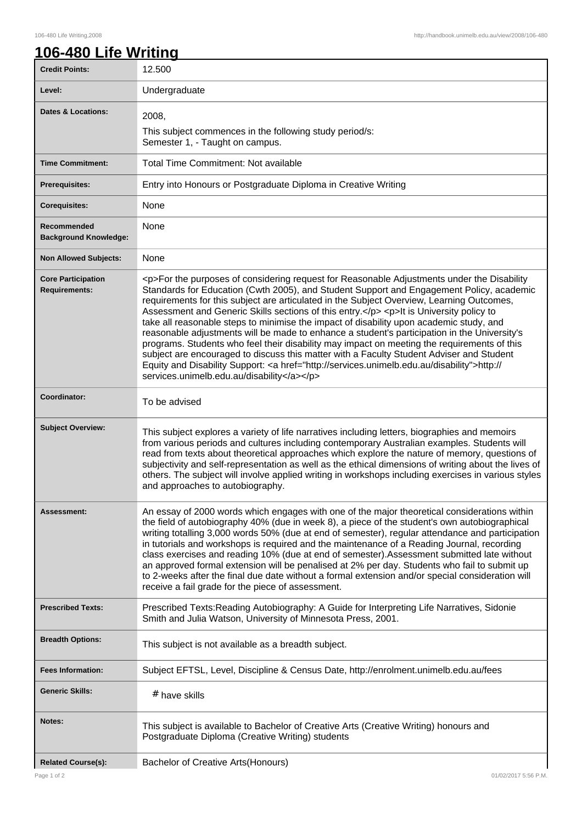## **106-480 Life Writing**

| <b>Credit Points:</b>                             | 12.500                                                                                                                                                                                                                                                                                                                                                                                                                                                                                                                                                                                                                                                                                                                                                                                                                                                                                                                       |
|---------------------------------------------------|------------------------------------------------------------------------------------------------------------------------------------------------------------------------------------------------------------------------------------------------------------------------------------------------------------------------------------------------------------------------------------------------------------------------------------------------------------------------------------------------------------------------------------------------------------------------------------------------------------------------------------------------------------------------------------------------------------------------------------------------------------------------------------------------------------------------------------------------------------------------------------------------------------------------------|
| Level:                                            | Undergraduate                                                                                                                                                                                                                                                                                                                                                                                                                                                                                                                                                                                                                                                                                                                                                                                                                                                                                                                |
| Dates & Locations:                                | 2008,                                                                                                                                                                                                                                                                                                                                                                                                                                                                                                                                                                                                                                                                                                                                                                                                                                                                                                                        |
|                                                   | This subject commences in the following study period/s:<br>Semester 1, - Taught on campus.                                                                                                                                                                                                                                                                                                                                                                                                                                                                                                                                                                                                                                                                                                                                                                                                                                   |
| <b>Time Commitment:</b>                           | Total Time Commitment: Not available                                                                                                                                                                                                                                                                                                                                                                                                                                                                                                                                                                                                                                                                                                                                                                                                                                                                                         |
| <b>Prerequisites:</b>                             | Entry into Honours or Postgraduate Diploma in Creative Writing                                                                                                                                                                                                                                                                                                                                                                                                                                                                                                                                                                                                                                                                                                                                                                                                                                                               |
| <b>Corequisites:</b>                              | None                                                                                                                                                                                                                                                                                                                                                                                                                                                                                                                                                                                                                                                                                                                                                                                                                                                                                                                         |
| Recommended<br><b>Background Knowledge:</b>       | None                                                                                                                                                                                                                                                                                                                                                                                                                                                                                                                                                                                                                                                                                                                                                                                                                                                                                                                         |
| <b>Non Allowed Subjects:</b>                      | None                                                                                                                                                                                                                                                                                                                                                                                                                                                                                                                                                                                                                                                                                                                                                                                                                                                                                                                         |
| <b>Core Participation</b><br><b>Requirements:</b> | <p>For the purposes of considering request for Reasonable Adjustments under the Disability<br/>Standards for Education (Cwth 2005), and Student Support and Engagement Policy, academic<br/>requirements for this subject are articulated in the Subject Overview, Learning Outcomes,<br/>Assessment and Generic Skills sections of this entry.</p> <p>lt is University policy to<br/>take all reasonable steps to minimise the impact of disability upon academic study, and<br/>reasonable adjustments will be made to enhance a student's participation in the University's<br/>programs. Students who feel their disability may impact on meeting the requirements of this<br/>subject are encouraged to discuss this matter with a Faculty Student Adviser and Student<br/>Equity and Disability Support: &lt; a href="http://services.unimelb.edu.au/disability"&gt;http://<br/>services.unimelb.edu.au/disability</p> |
| Coordinator:                                      | To be advised                                                                                                                                                                                                                                                                                                                                                                                                                                                                                                                                                                                                                                                                                                                                                                                                                                                                                                                |
| <b>Subject Overview:</b>                          | This subject explores a variety of life narratives including letters, biographies and memoirs<br>from various periods and cultures including contemporary Australian examples. Students will<br>read from texts about theoretical approaches which explore the nature of memory, questions of<br>subjectivity and self-representation as well as the ethical dimensions of writing about the lives of<br>others. The subject will involve applied writing in workshops including exercises in various styles<br>and approaches to autobiography.                                                                                                                                                                                                                                                                                                                                                                             |
| Assessment:                                       | An essay of 2000 words which engages with one of the major theoretical considerations within<br>the field of autobiography 40% (due in week 8), a piece of the student's own autobiographical<br>writing totalling 3,000 words 50% (due at end of semester), regular attendance and participation<br>in tutorials and workshops is required and the maintenance of a Reading Journal, recording<br>class exercises and reading 10% (due at end of semester). Assessment submitted late without<br>an approved formal extension will be penalised at 2% per day. Students who fail to submit up<br>to 2-weeks after the final due date without a formal extension and/or special consideration will<br>receive a fail grade for the piece of assessment.                                                                                                                                                                      |
| <b>Prescribed Texts:</b>                          | Prescribed Texts: Reading Autobiography: A Guide for Interpreting Life Narratives, Sidonie<br>Smith and Julia Watson, University of Minnesota Press, 2001.                                                                                                                                                                                                                                                                                                                                                                                                                                                                                                                                                                                                                                                                                                                                                                   |
| <b>Breadth Options:</b>                           | This subject is not available as a breadth subject.                                                                                                                                                                                                                                                                                                                                                                                                                                                                                                                                                                                                                                                                                                                                                                                                                                                                          |
| <b>Fees Information:</b>                          | Subject EFTSL, Level, Discipline & Census Date, http://enrolment.unimelb.edu.au/fees                                                                                                                                                                                                                                                                                                                                                                                                                                                                                                                                                                                                                                                                                                                                                                                                                                         |
| <b>Generic Skills:</b>                            | # have skills                                                                                                                                                                                                                                                                                                                                                                                                                                                                                                                                                                                                                                                                                                                                                                                                                                                                                                                |
| Notes:                                            | This subject is available to Bachelor of Creative Arts (Creative Writing) honours and<br>Postgraduate Diploma (Creative Writing) students                                                                                                                                                                                                                                                                                                                                                                                                                                                                                                                                                                                                                                                                                                                                                                                    |
| <b>Related Course(s):</b>                         | Bachelor of Creative Arts(Honours)                                                                                                                                                                                                                                                                                                                                                                                                                                                                                                                                                                                                                                                                                                                                                                                                                                                                                           |